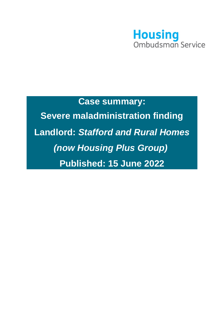

# **Case summary: Severe maladministration finding Landlord:** *Stafford and Rural Homes (now Housing Plus Group)* **Published: 15 June 2022**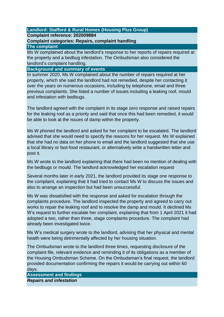## **Landlord: Stafford & Rural Homes (Housing Plus Group)**

## **Complaint reference: 202009884**

## **Complaint categories: Repairs, complaint handling**

### **The complaint**

Ms W complained about the landlord's response to her reports of repairs required at the property and a bedbug infestation. The Ombudsman also considered the landlord's complaint handling.

## **Background and summary of events**

In summer 2020, Ms W complained about the number of repairs required at her property, which she said the landlord had not remedied, despite her contacting it over the years on numerous occasions, including by telephone, email and three previous complaints. She listed a number of issues including a leaking roof, mould and infestation with bedbugs.

The landlord agreed with the complaint in its stage zero response and raised repairs for the leaking roof as a priority and said that once this had been remedied, it would be able to look at the issues of damp within the property.

Ms W phoned the landlord and asked for her complaint to be escalated. The landlord advised that she would need to specify the reasons for her request. Ms W explained that she had no data on her phone to email and the landlord suggested that she use a local library or fast-food restaurant, or alternatively write a handwritten letter and post it.

Ms W wrote to the landlord explaining that there had been no mention of dealing with the bedbugs or mould. The landlord acknowledged her escalation request

Several months later in early 2021, the landlord provided its stage one response to the complaint, explaining that it had tried to contact Ms W to discuss the issues and also to arrange an inspection but had been unsuccessful.

Ms W was dissatisfied with the response and asked for escalation through the complaints procedure. The landlord inspected the property and agreed to carry out works to repair the leaking roof and to resolve the damp and mould. It declined Ms W's request to further escalate her complaint, explaining that from 1 April 2021 it had adopted a two, rather than three, stage complaints procedure. The complaint had already been investigated twice.

Ms W's medical surgery wrote to the landlord, advising that her physical and mental health were being detrimentally affected by her housing situation.

The Ombudsman wrote to the landlord three times, requesting disclosure of the complaint file, relevant evidence and reminding it of its obligations as a member of the Housing Ombudsman Scheme. On the Ombudsman's final request, the landlord provided documentation confirming the repairs it would be carrying out within 60 days.

**Assessment and findings**  *Repairs and infestation*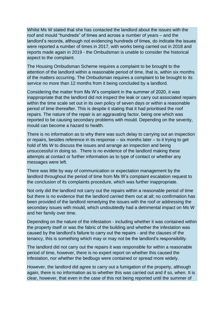Whilst Ms W stated that she has contacted the landlord about the issues with the roof and mould "hundreds" of times and across a number of years – and the landlord's records, although not evidencing hundreds of times, do indicate the issues were reported a number of times in 2017, with works being carried out in 2018 and reports made again in 2019 - the Ombudsman is unable to consider the historical aspect to the complaint.

The Housing Ombudsman Scheme requires a complaint to be brought to the attention of the landlord within a reasonable period of time, that is, within six months of the matters occurring. The Ombudsman requires a complaint to be brought to its service no more than 12 months from it being concluded by a landlord.

Considering the matter from Ms W's complaint in the summer of 2020, it was inappropriate that the landlord did not inspect the leak or carry out associated repairs within the time scale set out in its own policy of seven days or within a reasonable period of time thereafter. This is despite it stating that it had prioritised the roof repairs. The nature of the repair is an aggravating factor, being one which was reported to be causing secondary problems with mould. Depending on the severity, mould can become a hazard to health.

There is no information as to why there was such delay to carrying out an inspection or repairs, besides reference in its response – six months later – to it trying to get hold of Ms W to discuss the issues and arrange an inspection and being unsuccessful in doing so. There is no evidence of the landlord making these attempts at contact or further information as to type of contact or whether any messages were left.

There was little by way of communication or expectation management by the landlord throughout the period of time from Ms W's complaint escalation request to the conclusion of its complaints procedure, which was further inappropriate.

Not only did the landlord not carry out the repairs within a reasonable period of time but there is no evidence that the landlord carried them out at all; no confirmation has been provided of the landlord remedying the issues with the roof or addressing the secondary issues with mould, which undoubtedly had a detrimental impact on Ms W and her family over time.

Depending on the nature of the infestation - including whether it was contained within the property itself or was the fabric of the building and whether the infestation was caused by the landlord's failure to carry out the repairs - and the clauses of the tenancy, this is something which may or may not be the landlord's responsibility.

The landlord did not carry out the repairs it was responsible for within a reasonable period of time, however, there is no expert report on whether this caused the infestation, nor whether the bedbugs were contained or spread more widely.

However, the landlord did agree to carry out a fumigation of the property, although again, there is no information as to whether this was carried out and if so, when. It is clear, however, that even in the case of this not being reported until the summer of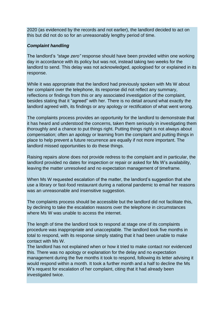2020 (as evidenced by the records and not earlier), the landlord decided to act on this but did not do so for an unreasonably lengthy period of time.

## *Complaint handling*

The landlord's *"stage zero"* response should have been provided within one working day in accordance with its policy but was not, instead taking two weeks for the landlord to send. This delay was not acknowledged, apologised for or explained in its response.

While it was appropriate that the landlord had previously spoken with Ms W about her complaint over the telephone, its response did not reflect any summary, reflections or findings from this or any associated investigation of the complaint, besides stating that it "agreed" with her. There is no detail around what exactly the landlord agreed with, its findings or any apology or rectification of what went wrong.

The complaints process provides an opportunity for the landlord to demonstrate that it has heard and understood the concerns, taken them seriously in investigating them thoroughly and a chance to put things right. Putting things right is not always about compensation; often an apology or learning from the complaint and putting things in place to help prevent a future recurrence are equally if not more important. The landlord missed opportunities to do these things.

Raising repairs alone does not provide redress to the complaint and in particular, the landlord provided no dates for inspection or repair or asked for Ms W's availability, leaving the matter unresolved and no expectation management of timeframe.

When Ms W requested escalation of the matter, the landlord's suggestion that she use a library or fast-food restaurant during a national pandemic to email her reasons was an unreasonable and insensitive suggestion.

The complaints process should be accessible but the landlord did not facilitate this, by declining to take the escalation reasons over the telephone in circumstances where Ms W was unable to access the internet.

The length of time the landlord took to respond at stage one of its complaints procedure was inappropriate and unacceptable. The landlord took five months in total to respond, with its response simply stating that it had been unable to make contact with Ms W.

The landlord has not explained when or how it tried to make contact nor evidenced this. There was no apology or explanation for the delay and no expectation management during the five months it took to respond, following its letter advising it would respond within a month. It took a further month and a half to decline the Ms W's request for escalation of her complaint, citing that it had already been investigated twice.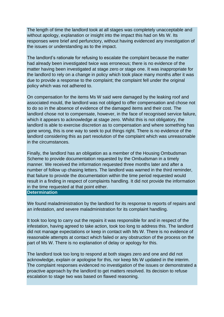The length of time the landlord took at all stages was completely unacceptable and without apology, explanation or insight into the impact this had on Ms W. Its responses were brief and perfunctory, without having evidenced any investigation of the issues or understanding as to the impact.

The landlord's rationale for refusing to escalate the complaint because the matter had already been investigated twice was erroneous; there is no evidence of the matter having been investigated at stage zero or stage one. It was inappropriate for the landlord to rely on a change in policy which took place many months after it was due to provide a response to the complaint; the complaint fell under the original policy which was not adhered to.

On compensation for the items Ms W said were damaged by the leaking roof and associated mould, the landlord was not obliged to offer compensation and chose not to do so in the absence of evidence of the damaged items and their cost. The landlord chose not to compensate, however, in the face of recognised service failure, which it appears to acknowledge at stage zero. Whilst this is not obligatory, the landlord is able to exercise discretion as to compensation and where something has gone wrong, this is one way to seek to put things right. There is no evidence of the landlord considering this as part resolution of the complaint which was unreasonable in the circumstances.

Finally, the landlord has an obligation as a member of the Housing Ombudsman Scheme to provide documentation requested by the Ombudsman in a timely manner. We received the information requested three months later and after a number of follow up chasing letters. The landlord was warned in the third reminder, that failure to provide the documentation within the time period requested would result in a finding in respect of complaints handling. It did not provide the information in the time requested at that point either.

**Determination**

We found maladministration by the landlord for its response to reports of repairs and an infestation, and severe maladministration for its complaint handling.

It took too long to carry out the repairs it was responsible for and in respect of the infestation, having agreed to take action, took too long to address this. The landlord did not manage expectations or keep in contact with Ms W. There is no evidence of reasonable attempts at contact which failed or any obstruction of the process on the part of Ms W. There is no explanation of delay or apology for this.

The landlord took too long to respond at both stages zero and one and did not acknowledge, explain or apologise for this, nor keep Ms W updated in the interim. The complaint responses evidenced no investigation of the issues or demonstrated a proactive approach by the landlord to get matters resolved. Its decision to refuse escalation to stage two was based on flawed reasoning.